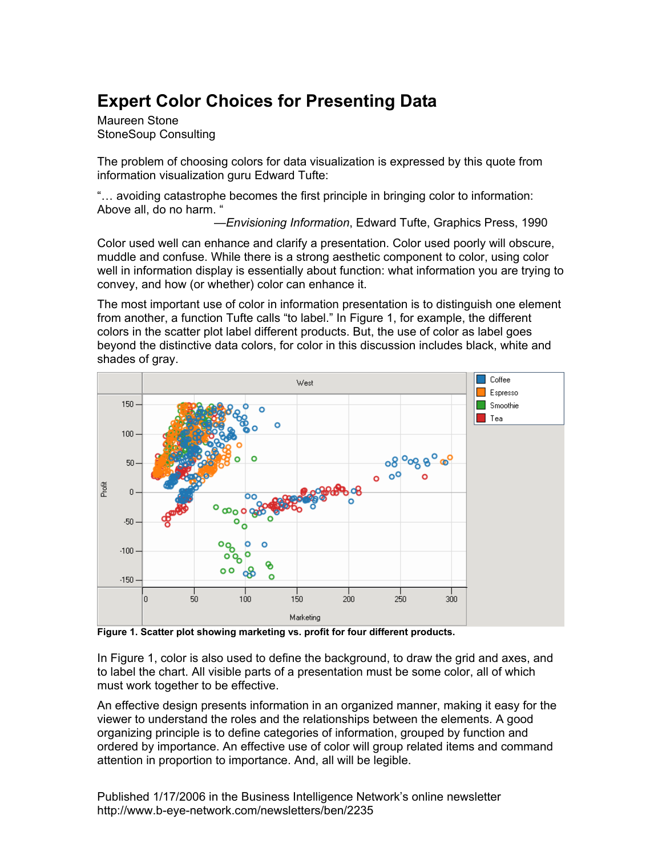# **Expert Color Choices for Presenting Data**

Maureen Stone StoneSoup Consulting

The problem of choosing colors for data visualization is expressed by this quote from information visualization guru Edward Tufte:

"… avoiding catastrophe becomes the first principle in bringing color to information: Above all, do no harm. "

—*Envisioning Information*, Edward Tufte, Graphics Press, 1990

Color used well can enhance and clarify a presentation. Color used poorly will obscure, muddle and confuse. While there is a strong aesthetic component to color, using color well in information display is essentially about function: what information you are trying to convey, and how (or whether) color can enhance it.

The most important use of color in information presentation is to distinguish one element from another, a function Tufte calls "to label." In Figure 1, for example, the different colors in the scatter plot label different products. But, the use of color as label goes beyond the distinctive data colors, for color in this discussion includes black, white and shades of gray.



**Figure 1. Scatter plot showing marketing vs. profit for four different products.** 

In Figure 1, color is also used to define the background, to draw the grid and axes, and to label the chart. All visible parts of a presentation must be some color, all of which must work together to be effective.

An effective design presents information in an organized manner, making it easy for the viewer to understand the roles and the relationships between the elements. A good organizing principle is to define categories of information, grouped by function and ordered by importance. An effective use of color will group related items and command attention in proportion to importance. And, all will be legible.

Published 1/17/2006 in the Business Intelligence Network's online newsletter http://www.b-eye-network.com/newsletters/ben/2235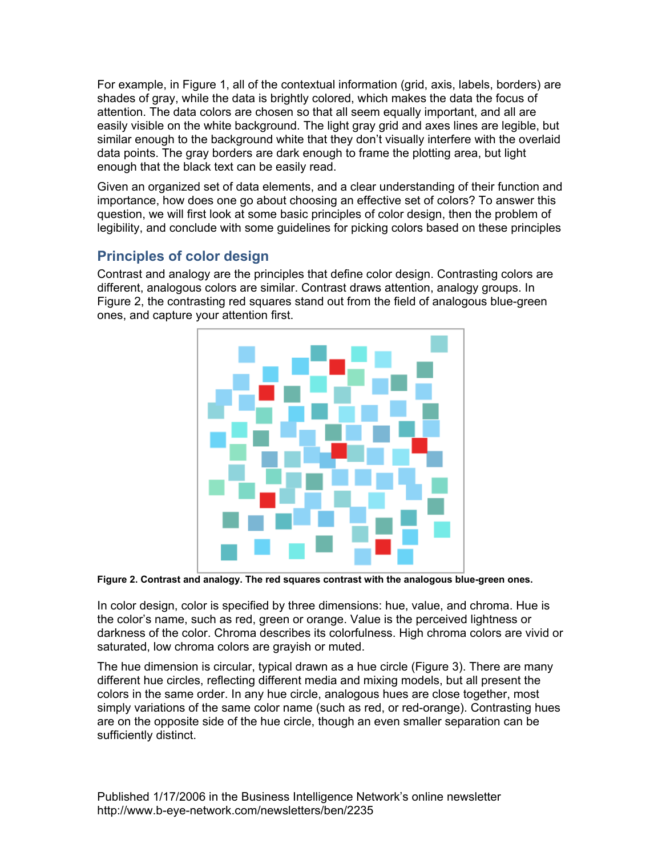For example, in Figure 1, all of the contextual information (grid, axis, labels, borders) are shades of gray, while the data is brightly colored, which makes the data the focus of attention. The data colors are chosen so that all seem equally important, and all are easily visible on the white background. The light gray grid and axes lines are legible, but similar enough to the background white that they don't visually interfere with the overlaid data points. The gray borders are dark enough to frame the plotting area, but light enough that the black text can be easily read.

Given an organized set of data elements, and a clear understanding of their function and importance, how does one go about choosing an effective set of colors? To answer this question, we will first look at some basic principles of color design, then the problem of legibility, and conclude with some guidelines for picking colors based on these principles

# **Principles of color design**

Contrast and analogy are the principles that define color design. Contrasting colors are different, analogous colors are similar. Contrast draws attention, analogy groups. In Figure 2, the contrasting red squares stand out from the field of analogous blue-green ones, and capture your attention first.



**Figure 2. Contrast and analogy. The red squares contrast with the analogous blue-green ones.** 

In color design, color is specified by three dimensions: hue, value, and chroma. Hue is the color's name, such as red, green or orange. Value is the perceived lightness or darkness of the color. Chroma describes its colorfulness. High chroma colors are vivid or saturated, low chroma colors are grayish or muted.

The hue dimension is circular, typical drawn as a hue circle (Figure 3). There are many different hue circles, reflecting different media and mixing models, but all present the colors in the same order. In any hue circle, analogous hues are close together, most simply variations of the same color name (such as red, or red-orange). Contrasting hues are on the opposite side of the hue circle, though an even smaller separation can be sufficiently distinct.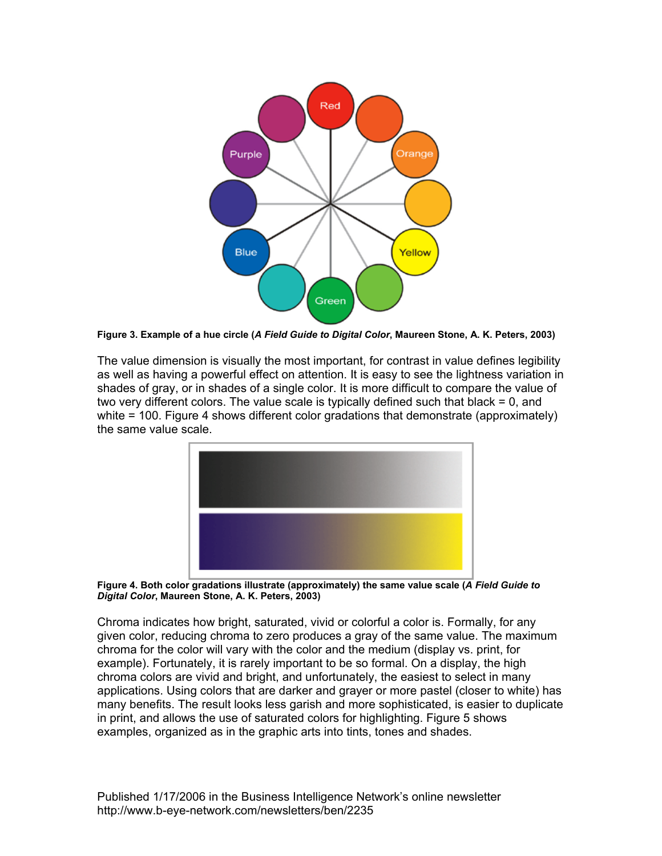

**Figure 3. Example of a hue circle (***A Field Guide to Digital Color***, Maureen Stone, A. K. Peters, 2003)** 

The value dimension is visually the most important, for contrast in value defines legibility as well as having a powerful effect on attention. It is easy to see the lightness variation in shades of gray, or in shades of a single color. It is more difficult to compare the value of two very different colors. The value scale is typically defined such that black = 0, and white = 100. Figure 4 shows different color gradations that demonstrate (approximately) the same value scale.





Chroma indicates how bright, saturated, vivid or colorful a color is. Formally, for any given color, reducing chroma to zero produces a gray of the same value. The maximum chroma for the color will vary with the color and the medium (display vs. print, for example). Fortunately, it is rarely important to be so formal. On a display, the high chroma colors are vivid and bright, and unfortunately, the easiest to select in many applications. Using colors that are darker and grayer or more pastel (closer to white) has many benefits. The result looks less garish and more sophisticated, is easier to duplicate in print, and allows the use of saturated colors for highlighting. Figure 5 shows examples, organized as in the graphic arts into tints, tones and shades.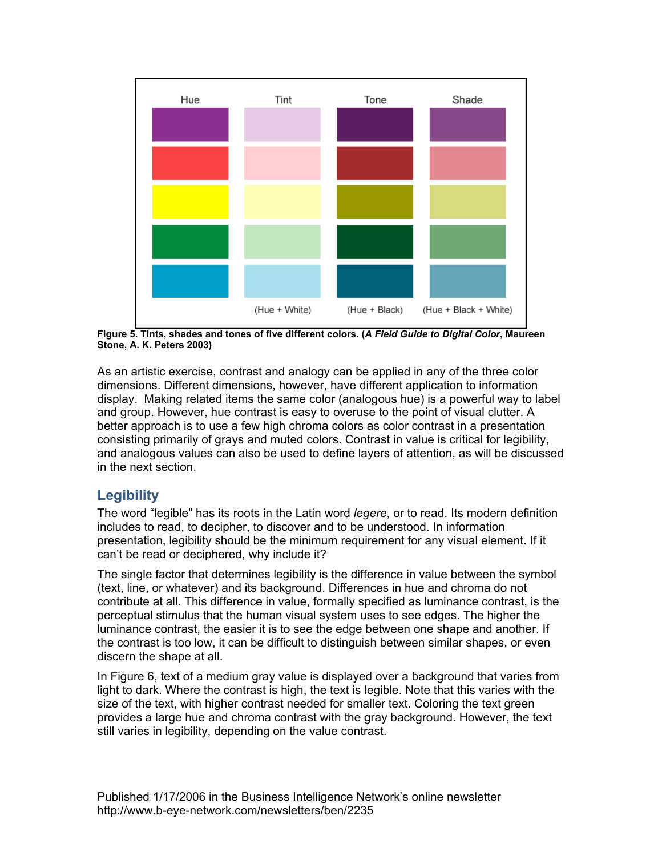

**Figure 5. Tints, shades and tones of five different colors. (***A Field Guide to Digital Color***, Maureen Stone, A. K. Peters 2003)** 

As an artistic exercise, contrast and analogy can be applied in any of the three color dimensions. Different dimensions, however, have different application to information display. Making related items the same color (analogous hue) is a powerful way to label and group. However, hue contrast is easy to overuse to the point of visual clutter. A better approach is to use a few high chroma colors as color contrast in a presentation consisting primarily of grays and muted colors. Contrast in value is critical for legibility, and analogous values can also be used to define layers of attention, as will be discussed in the next section.

# **Legibility**

The word "legible" has its roots in the Latin word *legere*, or to read. Its modern definition includes to read, to decipher, to discover and to be understood. In information presentation, legibility should be the minimum requirement for any visual element. If it can't be read or deciphered, why include it?

The single factor that determines legibility is the difference in value between the symbol (text, line, or whatever) and its background. Differences in hue and chroma do not contribute at all. This difference in value, formally specified as luminance contrast, is the perceptual stimulus that the human visual system uses to see edges. The higher the luminance contrast, the easier it is to see the edge between one shape and another. If the contrast is too low, it can be difficult to distinguish between similar shapes, or even discern the shape at all.

In Figure 6, text of a medium gray value is displayed over a background that varies from light to dark. Where the contrast is high, the text is legible. Note that this varies with the size of the text, with higher contrast needed for smaller text. Coloring the text green provides a large hue and chroma contrast with the gray background. However, the text still varies in legibility, depending on the value contrast.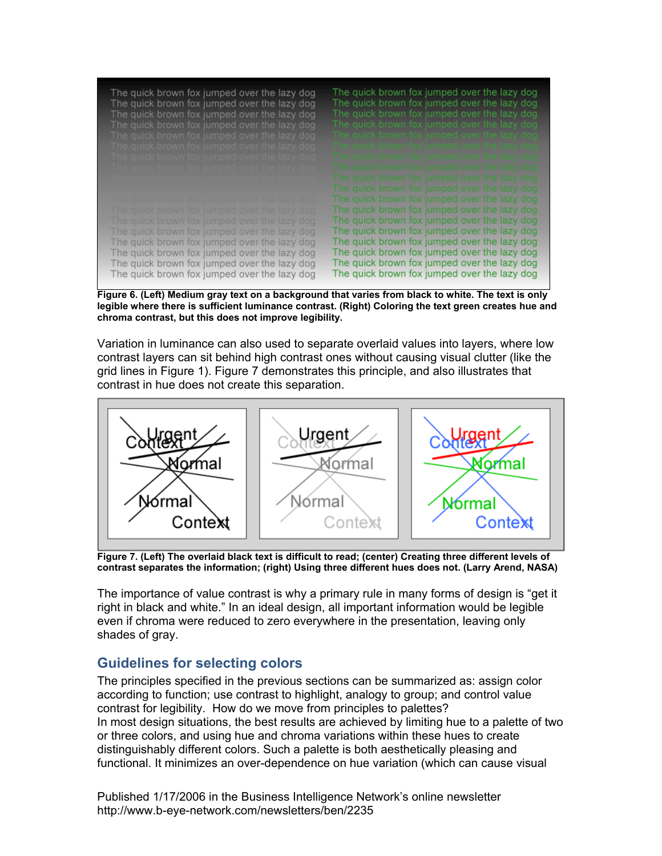| The quick brown fox jumped over the lazy dog<br>The quick brown fox jumped over the lazy dog<br>The quick brown fox jumped over the lazy dog | The quick brown fox jumped over the lazy dog<br>The quick brown fox jumped over the lazy dog<br>The quick brown fox jumped over the lazy dog |
|----------------------------------------------------------------------------------------------------------------------------------------------|----------------------------------------------------------------------------------------------------------------------------------------------|
| The quick brown fox jumped over the lazy dog                                                                                                 | The quick brown fox jumped over the lazy dog                                                                                                 |
| The quick brown fox jumped over the lazy dog                                                                                                 | The quick brown fox jumped over the lazy dog.                                                                                                |
| The quick brown fox jumped over the lazy dog                                                                                                 | The quick brown fox jumped over the lazy door                                                                                                |
| The quick brown fox jumped over the lazy dog                                                                                                 | The quick brown fox jumped over the lazy dog                                                                                                 |
| <u>The quick brown fox jumped over the lazy dog</u>                                                                                          | The quick brown fox jumped over the lazy dog                                                                                                 |
|                                                                                                                                              | The quick brown fox jumped over the lazy dog                                                                                                 |
|                                                                                                                                              | The quick brown fox jumped over the lazy dog                                                                                                 |
| The quick prown fox jumped over the lazy dog                                                                                                 | The quick brown fox jumped over the lazy dog                                                                                                 |
| The quick brown fox jumped over the lazy dog                                                                                                 | The quick brown fox jumped over the lazy dog                                                                                                 |
| The quick brown fox jumped over the lazy dog                                                                                                 | The quick brown fox jumped over the lazy dog                                                                                                 |
| The quick brown fox jumped over the lazy dog                                                                                                 | The quick brown fox jumped over the lazy dog                                                                                                 |
| The quick brown fox jumped over the lazy dog                                                                                                 | The quick brown fox jumped over the lazy dog                                                                                                 |
| The quick brown fox jumped over the lazy dog                                                                                                 | The quick brown fox jumped over the lazy dog                                                                                                 |
| The quick brown fox jumped over the lazy dog                                                                                                 | The quick brown fox jumped over the lazy dog                                                                                                 |
| The quick brown fox jumped over the lazy dog                                                                                                 | The quick brown fox jumped over the lazy dog                                                                                                 |

**Figure 6. (Left) Medium gray text on a background that varies from black to white. The text is only legible where there is sufficient luminance contrast. (Right) Coloring the text green creates hue and chroma contrast, but this does not improve legibility.** 

Variation in luminance can also used to separate overlaid values into layers, where low contrast layers can sit behind high contrast ones without causing visual clutter (like the grid lines in Figure 1). Figure 7 demonstrates this principle, and also illustrates that contrast in hue does not create this separation.



**Figure 7. (Left) The overlaid black text is difficult to read; (center) Creating three different levels of contrast separates the information; (right) Using three different hues does not. (Larry Arend, NASA)** 

The importance of value contrast is why a primary rule in many forms of design is "get it right in black and white." In an ideal design, all important information would be legible even if chroma were reduced to zero everywhere in the presentation, leaving only shades of gray.

#### **Guidelines for selecting colors**

The principles specified in the previous sections can be summarized as: assign color according to function; use contrast to highlight, analogy to group; and control value contrast for legibility. How do we move from principles to palettes? In most design situations, the best results are achieved by limiting hue to a palette of two or three colors, and using hue and chroma variations within these hues to create distinguishably different colors. Such a palette is both aesthetically pleasing and functional. It minimizes an over-dependence on hue variation (which can cause visual

Published 1/17/2006 in the Business Intelligence Network's online newsletter http://www.b-eye-network.com/newsletters/ben/2235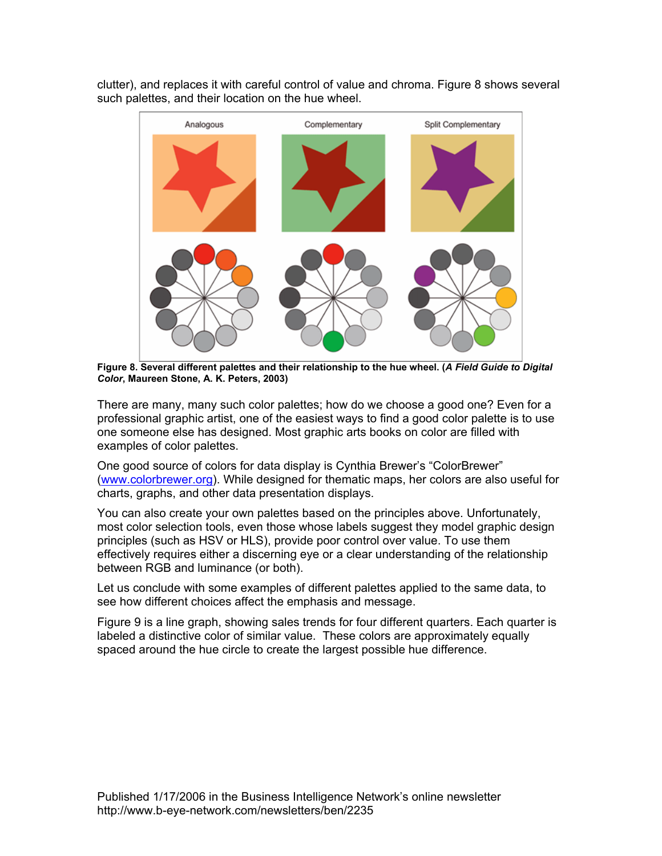

clutter), and replaces it with careful control of value and chroma. Figure 8 shows several such palettes, and their location on the hue wheel.

**Figure 8. Several different palettes and their relationship to the hue wheel. (***A Field Guide to Digital Color***, Maureen Stone, A. K. Peters, 2003)** 

There are many, many such color palettes; how do we choose a good one? Even for a professional graphic artist, one of the easiest ways to find a good color palette is to use one someone else has designed. Most graphic arts books on color are filled with examples of color palettes.

One good source of colors for data display is Cynthia Brewer's "ColorBrewer" (www.colorbrewer.org). While designed for thematic maps, her colors are also useful for charts, graphs, and other data presentation displays.

You can also create your own palettes based on the principles above. Unfortunately, most color selection tools, even those whose labels suggest they model graphic design principles (such as HSV or HLS), provide poor control over value. To use them effectively requires either a discerning eye or a clear understanding of the relationship between RGB and luminance (or both).

Let us conclude with some examples of different palettes applied to the same data, to see how different choices affect the emphasis and message.

Figure 9 is a line graph, showing sales trends for four different quarters. Each quarter is labeled a distinctive color of similar value. These colors are approximately equally spaced around the hue circle to create the largest possible hue difference.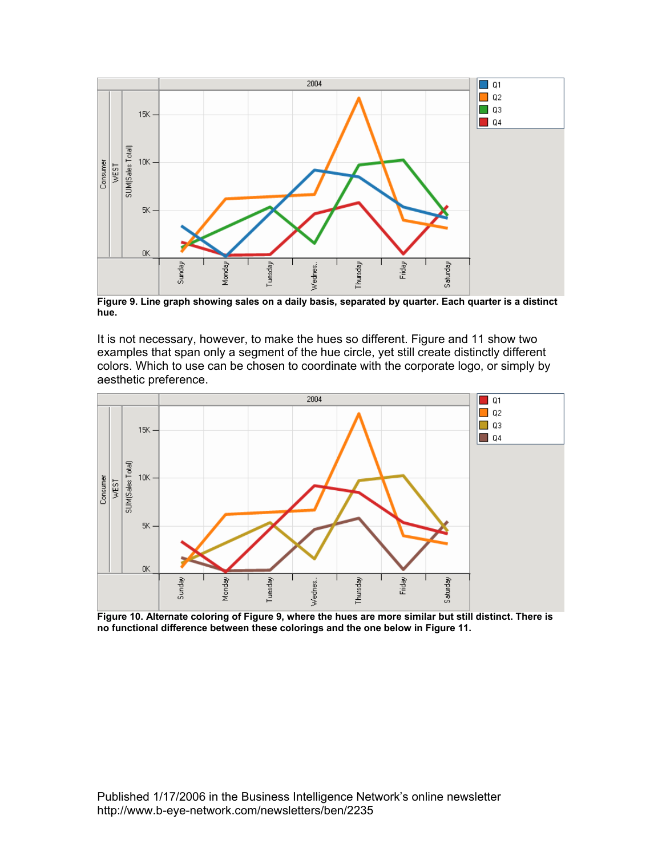

**Figure 9. Line graph showing sales on a daily basis, separated by quarter. Each quarter is a distinct hue.** 

It is not necessary, however, to make the hues so different. Figure and 11 show two examples that span only a segment of the hue circle, yet still create distinctly different colors. Which to use can be chosen to coordinate with the corporate logo, or simply by aesthetic preference.



**Figure 10. Alternate coloring of Figure 9, where the hues are more similar but still distinct. There is no functional difference between these colorings and the one below in Figure 11.**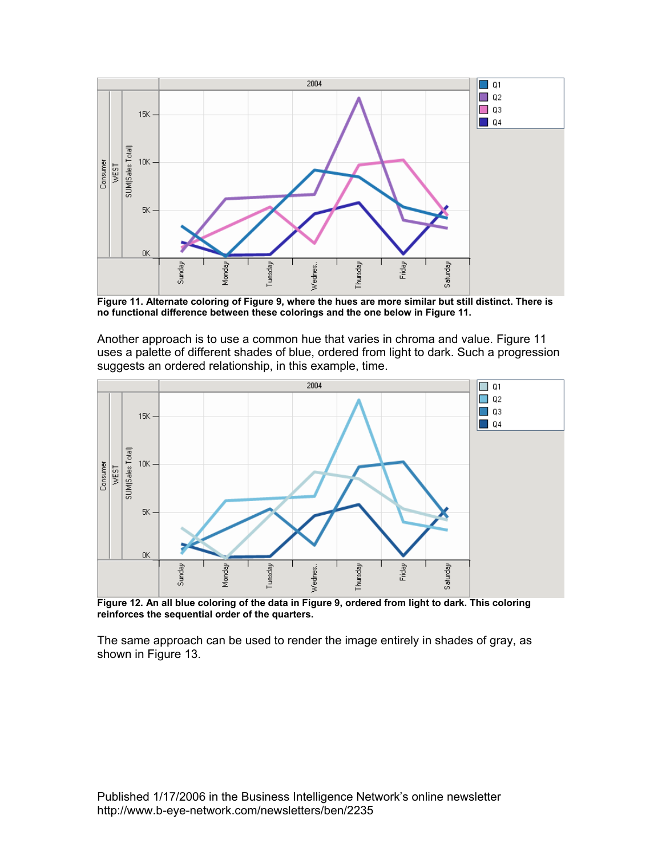

**Figure 11. Alternate coloring of Figure 9, where the hues are more similar but still distinct. There is no functional difference between these colorings and the one below in Figure 11.** 

Another approach is to use a common hue that varies in chroma and value. Figure 11 uses a palette of different shades of blue, ordered from light to dark. Such a progression suggests an ordered relationship, in this example, time.



**Figure 12. An all blue coloring of the data in Figure 9, ordered from light to dark. This coloring reinforces the sequential order of the quarters.** 

The same approach can be used to render the image entirely in shades of gray, as shown in Figure 13.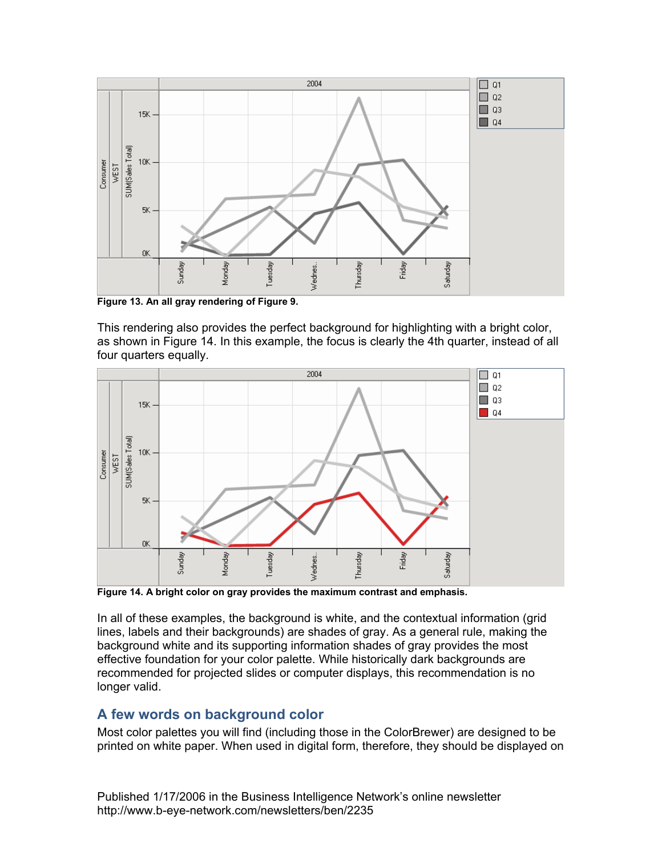

**Figure 13. An all gray rendering of Figure 9.** 

This rendering also provides the perfect background for highlighting with a bright color, as shown in Figure 14. In this example, the focus is clearly the 4th quarter, instead of all four quarters equally.



**Figure 14. A bright color on gray provides the maximum contrast and emphasis.** 

In all of these examples, the background is white, and the contextual information (grid lines, labels and their backgrounds) are shades of gray. As a general rule, making the background white and its supporting information shades of gray provides the most effective foundation for your color palette. While historically dark backgrounds are recommended for projected slides or computer displays, this recommendation is no longer valid.

#### **A few words on background color**

Most color palettes you will find (including those in the ColorBrewer) are designed to be printed on white paper. When used in digital form, therefore, they should be displayed on